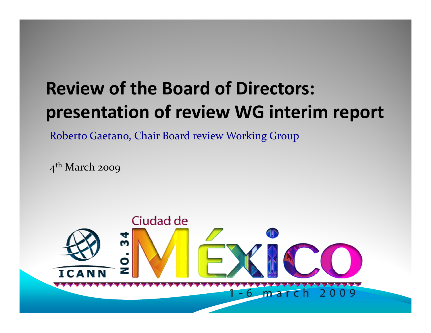#### **Review of the Board of Directors: presentation of review WG interim report**

Roberto Gaetano, Chair Board review Working Group

 $4<sup>th</sup>$  March 2009

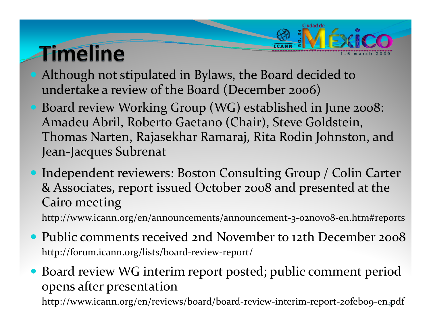## **Timeline**

- Although not stipulated in Bylaws, the Board decided to undertake a review of the Board (December 2006)
- Board review Working Group (WG) established in June 2008: Amadeu Abril, Roberto Gaetano (Chair), Steve Goldstein, Thomas Narten, Rajasekhar Ramaraj, Rita Rodin Johnston, and Jean‐Jacques Subrenat
- **Independent reviewers: Boston Consulting Group / Colin Carter** & Associates, repor<sup>t</sup> issued October 2008 and presented at the Cairo meeting

http://www.icann.org/en/announcements/announcement‐3‐02nov08‐en.htm#reports

- Public comments received 2nd November to 12th December 2008 http://forum.icann.org/lists/board‐review‐report/
- $\bullet$  Board review WG interim repor<sup>t</sup> posted; public comment period opens after presentation http://www.icann.org/en/reviews/board/board-review-interim-report-20febo9-en.pdf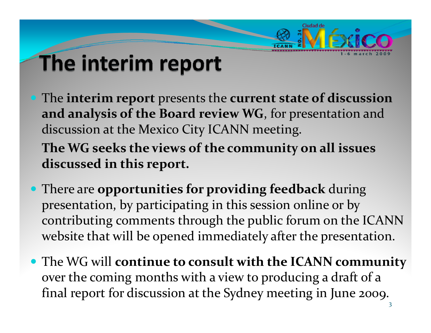

## The interim report

- y The **interim repor<sup>t</sup>** presents the **current state of discussion and analysis of the Board review WG**, for presentation and discussion at the Mexico City ICANN meeting.
	- **The WG seeks the views of the community on all issues discussed in this report.**
- y There are **opportunities for providing feedback** during presentation, by participating in this session online or by contributing comments through the public forum on the ICANN website that will be opened immediately after the presentation.
- y The WG will **continue to consult with the ICANN community** over the coming months with <sup>a</sup> view to producing <sup>a</sup> draft of <sup>a</sup> final repor<sup>t</sup> for discussion at the Sydney meeting in June 2009.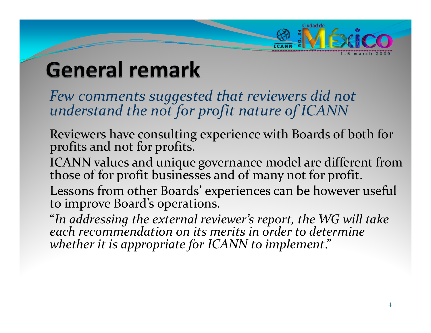## **General remark**

*Few comments suggested that reviewers did not understandthe not for profit nature of ICANN*

Reviewers have consulting experience with Boards of both for profits and not for profits.

ICANN values and unique governance model are different from<br>those of for profit businesses and of many not for profit. those of for profit businesses and of many not for profit.

Lessons from other Boards' experiences can be however useful to improve Board's operations.

"*In addressing the external reviewer's report, the WG will take each recommendation on its merits in order to determine whether it is appropriate for ICANN to implement*."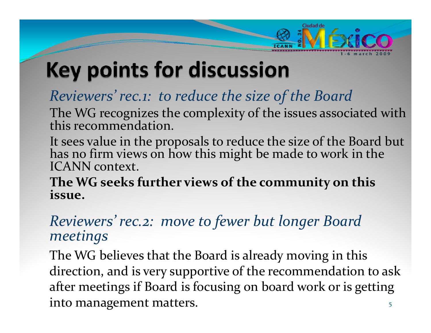

*Reviewers' rec.1: to reduce the size of the Board*

The WG recognizes the complexity of the issues associated with<br>this recommendation. this recommendation.

It sees value in the proposals to reduce the size of the Board but<br>has no firm views on how this might be made to work in the no firm views on how this might be made to work in the ICANN context.

**The WG seeks further views of the community on this issue.**

#### *Reviewers' rec.2: move to fewer but longer Board meetings*

The WG believes that the Board is already moving in this direction, and is very supportive of the recommendation to ask after meetings if Board is focusing on board work or is getting into management matters. The state of the state of  $5$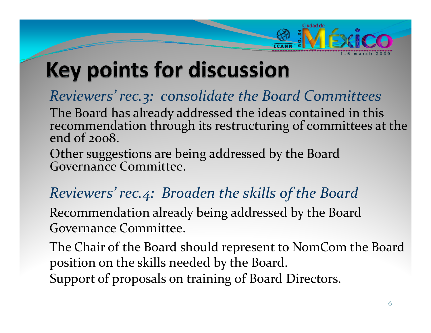

*Reviewers' rec.3: consolidate the Board Committees*

The Board has already addressed the ideas contained in this<br>recommendation through its restructuring of committees at recommendation through its restructuring of committees at the end of  $2008$ .

Other suggestions are being addressed by the Board Governance Committee.

#### *Reviewers' rec.4: Broaden the skills of the Board*

Recommendation already being addressed by the Board Governance Committee.

The Chair of the Board should represen<sup>t</sup> to NomCom the Board position on the skills needed by the Board. Support of proposals on training of Board Directors.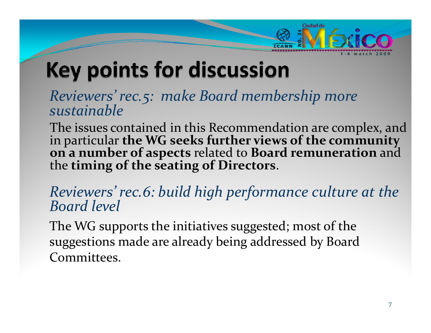

*Reviewers' rec.5: make Board membership more sustainable*

The issues contained in this Recommendation are complex, and in particular **the WG seeks further views of the community on <sup>a</sup> number of aspects** related to **Board remuneration** and the**timing of the seating of Directors**.

*Reviewers' rec.6: build high performance culture at the Boardlevel*

The WG supports the initiatives suggested; most of the suggestions made are already being addressed by Board Committees.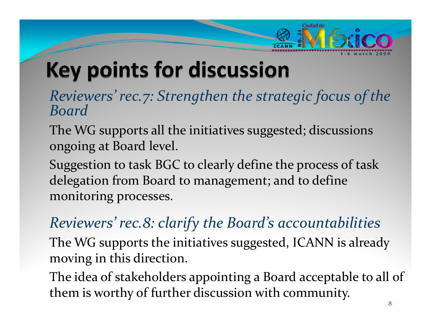

*Reviewers' rec.7: Strengthen the strategic focus of the Board*

The WG supports all the initiatives suggested; discussions ongoing at Board level.

Suggestion to task BGC to clearly define the process of task delegation from Board to management; and to define monitoring processes.

#### *Reviewers' rec.8: clarify the Board's accountabilities* The WG supports the initiatives suggested, ICANN is already moving in this direction.

The idea of stakeholders appointing <sup>a</sup> Board acceptable to all of them is worthy of further discussion with community.